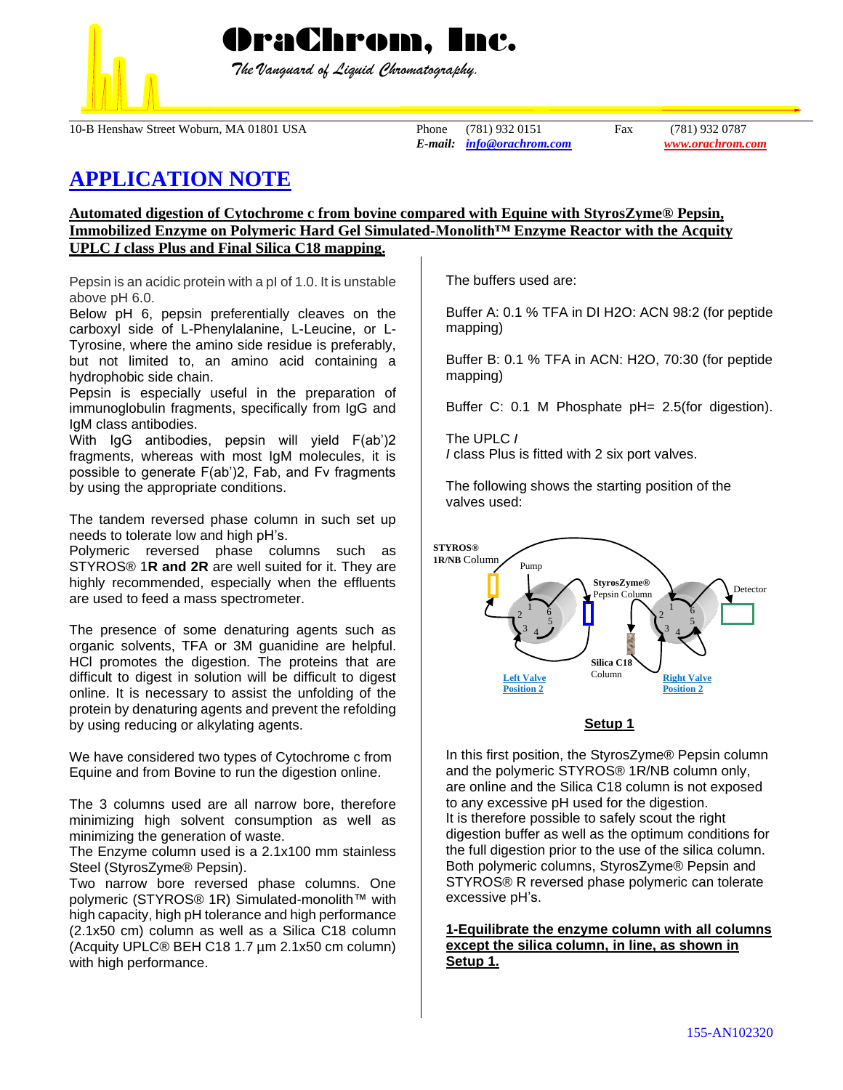

 *The Vanguard of Liquid Chromatography.*

10-B Henshaw Street Woburn, MA 01801 USA Phone (781) 932 0151 Fax (781) 932 0787

*E-mail: [info@orachrom.com](mailto:info@orachrom.com) www.orachrom.com*

# **APPLICATION NOTE**

### **Automated digestion of Cytochrome c from bovine compared with Equine with StyrosZyme® Pepsin, Immobilized Enzyme on Polymeric Hard Gel Simulated-Monolith™ Enzyme Reactor with the Acquity UPLC** *I* **class Plus and Final Silica C18 mapping.**

Pepsin is an acidic protein with a pI of 1.0. It is unstable above pH 6.0.

Below pH 6, pepsin preferentially cleaves on the carboxyl side of L-Phenylalanine, L-Leucine, or L-Tyrosine, where the amino side residue is preferably, but not limited to, an amino acid containing a hydrophobic side chain.

Pepsin is especially useful in the preparation of immunoglobulin fragments, specifically from IgG and IgM class antibodies.

With IgG antibodies, pepsin will yield F(ab')2 fragments, whereas with most IgM molecules, it is possible to generate F(ab')2, Fab, and Fv fragments by using the appropriate conditions.

The tandem reversed phase column in such set up needs to tolerate low and high pH's.

Polymeric reversed phase columns such as STYROS® 1**R and 2R** are well suited for it. They are highly recommended, especially when the effluents are used to feed a mass spectrometer.

The presence of some denaturing agents such as organic solvents, TFA or 3M guanidine are helpful. HCl promotes the digestion. The proteins that are difficult to digest in solution will be difficult to digest online. It is necessary to assist the unfolding of the protein by denaturing agents and prevent the refolding by using reducing or alkylating agents.

We have considered two types of Cytochrome c from Equine and from Bovine to run the digestion online.

The 3 columns used are all narrow bore, therefore minimizing high solvent consumption as well as minimizing the generation of waste.

The Enzyme column used is a 2.1x100 mm stainless Steel (StyrosZyme® Pepsin).

Two narrow bore reversed phase columns. One polymeric (STYROS<sup>®</sup> 1R) Simulated-monolith™ with high capacity, high pH tolerance and high performance (2.1x50 cm) column as well as a Silica C18 column (Acquity UPLC® BEH C18 1.7 µm 2.1x50 cm column) with high performance.

The buffers used are:

Buffer A: 0.1 % TFA in DI H2O: ACN 98:2 (for peptide mapping)

Buffer B: 0.1 % TFA in ACN: H2O, 70:30 (for peptide mapping)

Buffer C: 0.1 M Phosphate pH= 2.5(for digestion).

The UPLC *I I* class Plus is fitted with 2 six port valves.

The following shows the starting position of the valves used:



## **Setup 1**

In this first position, the StyrosZyme® Pepsin column and the polymeric STYROS® 1R/NB column only, are online and the Silica C18 column is not exposed to any excessive pH used for the digestion. It is therefore possible to safely scout the right digestion buffer as well as the optimum conditions for the full digestion prior to the use of the silica column. Both polymeric columns, StyrosZyme® Pepsin and STYROS® R reversed phase polymeric can tolerate excessive pH's.

**1-Equilibrate the enzyme column with all columns except the silica column, in line, as shown in Setup 1.**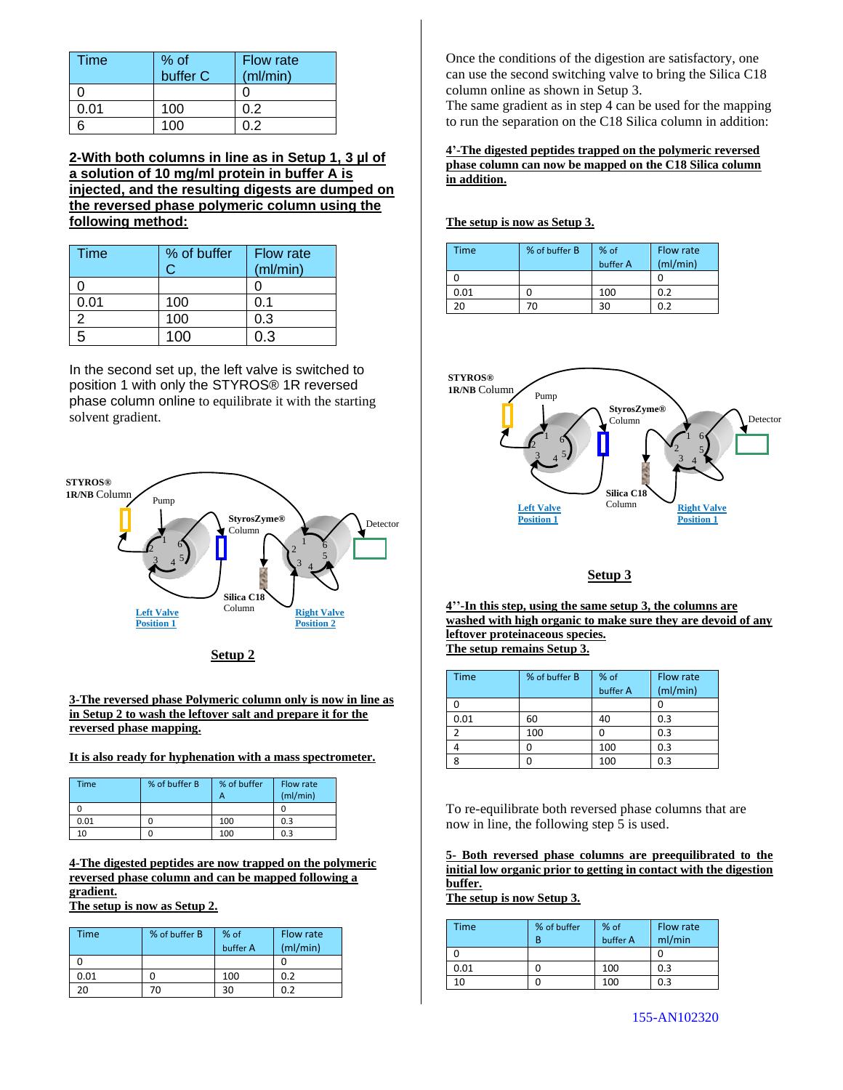| Time | % of<br>buffer C | <b>Flow rate</b><br>(ml/min) |
|------|------------------|------------------------------|
|      |                  |                              |
| 0.01 | 100              | 0.2                          |
|      | 100              | በ 2                          |

**2-With both columns in line as in Setup 1, 3 µl of a solution of 10 mg/ml protein in buffer A is injected, and the resulting digests are dumped on the reversed phase polymeric column using the following method:**

| <b>Time</b> | % of buffer | <b>Flow rate</b><br>(ml/min) |
|-------------|-------------|------------------------------|
|             |             |                              |
| 0.01        | 100         | 0.1                          |
|             | 100         | 0.3                          |
|             | 100         | በ : የ                        |

In the second set up, the left valve is switched to position 1 with only the STYROS® 1R reversed phase column online to equilibrate it with the starting solvent gradient.





#### **3-The reversed phase Polymeric column only is now in line as in Setup 2 to wash the leftover salt and prepare it for the reversed phase mapping.**

#### **It is also ready for hyphenation with a mass spectrometer.**

| <b>Time</b> | % of buffer B | % of buffer<br>А | Flow rate<br>(mI/min) |
|-------------|---------------|------------------|-----------------------|
|             |               |                  |                       |
| 0.01        |               | 100              | 0.3                   |
| 10          |               | 100              | 0.3                   |

**4-The digested peptides are now trapped on the polymeric reversed phase column and can be mapped following a gradient.**

**The setup is now as Setup 2.**

| Time | % of buffer B | % of<br>buffer A | Flow rate<br>(mI/min) |
|------|---------------|------------------|-----------------------|
|      |               |                  |                       |
| 0.01 |               | 100              | 0.2                   |
|      |               |                  |                       |

Once the conditions of the digestion are satisfactory, one can use the second switching valve to bring the Silica C18 column online as shown in Setup 3.

The same gradient as in step 4 can be used for the mapping to run the separation on the C18 Silica column in addition:

**4'-The digested peptides trapped on the polymeric reversed phase column can now be mapped on the C18 Silica column in addition.**

**The setup is now as Setup 3.**

| Time | % of buffer B | $%$ of<br>buffer A | Flow rate<br>(mI/min) |
|------|---------------|--------------------|-----------------------|
|      |               |                    |                       |
| 0.01 |               | 100                | 0.2                   |
| 20.  | ΖΟ            | 30                 | በ ን                   |



## **Setup 3**

**4''-In this step, using the same setup 3, the columns are washed with high organic to make sure they are devoid of any leftover proteinaceous species. The setup remains Setup 3.**

Time % of buffer B % of buffer A Flow rate (ml/min) 0 0 0.01 60 40 0.3 2 100 0 0.3 4 0 100 0.3 8 0 100 0.3

To re-equilibrate both reversed phase columns that are now in line, the following step 5 is used.

**5- Both reversed phase columns are preequilibrated to the initial low organic prior to getting in contact with the digestion buffer.** 

**The setup is now Setup 3.**

| Time | % of buffer<br>В | % of<br>buffer A | Flow rate<br>ml/min |
|------|------------------|------------------|---------------------|
|      |                  |                  |                     |
| 0.01 |                  | 100              | 0.3                 |
| 10   |                  | 100              | 0.3                 |